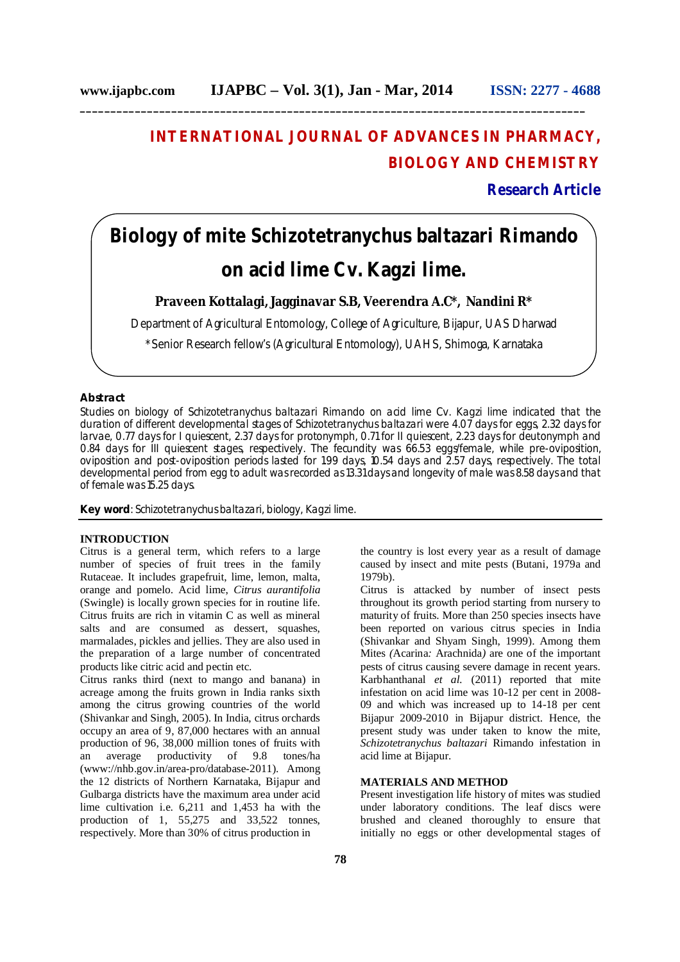**\_\_\_\_\_\_\_\_\_\_\_\_\_\_\_\_\_\_\_\_\_\_\_\_\_\_\_\_\_\_\_\_\_\_\_\_\_\_\_\_\_\_\_\_\_\_\_\_\_\_\_\_\_\_\_\_\_\_\_\_\_\_\_\_\_\_\_\_\_\_\_\_\_\_\_\_\_\_\_\_\_\_\_**

## **INTERNATIONAL JOURNAL OF ADVANCES IN PHARMACY, BIOLOGY AND CHEMISTRY**

**Research Article**

# **Biology of mite** *Schizotetranychus baltazari* **Rimando on acid lime Cv. Kagzi lime.**

## **Praveen Kottalagi, Jagginavar S.B, Veerendra A.C\*, Nandini R\***

Department of Agricultural Entomology, College of Agriculture, Bijapur, UAS Dharwad

\*Senior Research fellow's (Agricultural Entomology), UAHS, Shimoga, Karnataka

## **Abstract**

Studies on biology of *Schizotetranychus baltazari* Rimando on acid lime Cv. Kagzi lime indicated that the duration of different developmental stages of *Schizotetranychus baltazari* were 4.07 days for eggs, 2.32 days for larvae, 0.77 days for I quiescent, 2.37 days for protonymph, 0.71 for II quiescent, 2.23 days for deutonymph and 0.84 days for III quiescent stages, respectively. The fecundity was 66.53 eggs/female, while pre-oviposition, oviposition and post-oviposition periods lasted for 1.99 days, 10.54 days and 2.57 days, respectively. The total developmental period from egg to adult was recorded as 13.31 days and longevity of male was 8.58 days and that of female was 15.25 days.

**Key word**: *Schizotetranychus baltazari,* biology, Kagzi lime.

#### **INTRODUCTION**

Citrus is a general term, which refers to a large number of species of fruit trees in the family Rutaceae. It includes grapefruit, lime, lemon, malta, orange and pomelo. Acid lime, *Citrus aurantifolia* (Swingle) is locally grown species for in routine life. Citrus fruits are rich in vitamin C as well as mineral salts and are consumed as dessert, squashes, marmalades, pickles and jellies. They are also used in the preparation of a large number of concentrated products like citric acid and pectin etc.

Citrus ranks third (next to mango and banana) in acreage among the fruits grown in India ranks sixth among the citrus growing countries of the world (Shivankar and Singh, 2005). In India, citrus orchards occupy an area of 9, 87,000 hectares with an annual production of 96, 38,000 million tones of fruits with an average productivity of 9.8 tones/ha (www://nhb.gov.in/area-pro/database-2011). Among the 12 districts of Northern Karnataka, Bijapur and Gulbarga districts have the maximum area under acid lime cultivation i.e. 6,211 and 1,453 ha with the production of 1, 55,275 and 33,522 tonnes, respectively. More than 30% of citrus production in

the country is lost every year as a result of damage caused by insect and mite pests (Butani, 1979a and 1979b).

Citrus is attacked by number of insect pests throughout its growth period starting from nursery to maturity of fruits. More than 250 species insects have been reported on various citrus species in India (Shivankar and Shyam Singh, 1999). Among them Mites *(*Acarina*:* Arachnida*)* are one of the important pests of citrus causing severe damage in recent years. Karbhanthanal *et al.* (2011) reported that mite infestation on acid lime was 10-12 per cent in 2008- 09 and which was increased up to 14-18 per cent Bijapur 2009-2010 in Bijapur district. Hence, the present study was under taken to know the mite, *Schizotetranychus baltazari* Rimando infestation in acid lime at Bijapur.

#### **MATERIALS AND METHOD**

Present investigation life history of mites was studied under laboratory conditions. The leaf discs were brushed and cleaned thoroughly to ensure that initially no eggs or other developmental stages of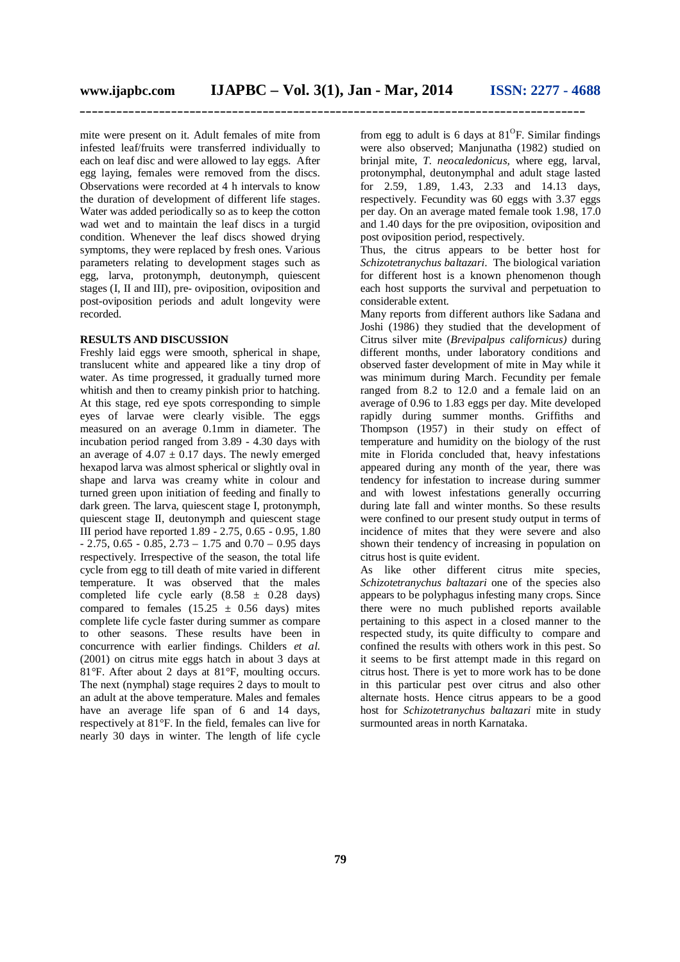**\_\_\_\_\_\_\_\_\_\_\_\_\_\_\_\_\_\_\_\_\_\_\_\_\_\_\_\_\_\_\_\_\_\_\_\_\_\_\_\_\_\_\_\_\_\_\_\_\_\_\_\_\_\_\_\_\_\_\_\_\_\_\_\_\_\_\_\_\_\_\_\_\_\_\_\_\_\_\_\_\_\_\_**

mite were present on it. Adult females of mite from infested leaf/fruits were transferred individually to each on leaf disc and were allowed to lay eggs. After egg laying, females were removed from the discs. Observations were recorded at 4 h intervals to know the duration of development of different life stages. Water was added periodically so as to keep the cotton wad wet and to maintain the leaf discs in a turgid condition. Whenever the leaf discs showed drying symptoms, they were replaced by fresh ones. Various parameters relating to development stages such as egg, larva, protonymph, deutonymph, quiescent stages (I, II and III), pre- oviposition, oviposition and post-oviposition periods and adult longevity were recorded.

### **RESULTS AND DISCUSSION**

Freshly laid eggs were smooth, spherical in shape, translucent white and appeared like a tiny drop of water. As time progressed, it gradually turned more whitish and then to creamy pinkish prior to hatching. At this stage, red eye spots corresponding to simple eyes of larvae were clearly visible. The eggs measured on an average 0.1mm in diameter. The incubation period ranged from 3.89 - 4.30 days with an average of  $4.07 \pm 0.17$  days. The newly emerged hexapod larva was almost spherical or slightly oval in shape and larva was creamy white in colour and turned green upon initiation of feeding and finally to dark green. The larva, quiescent stage I, protonymph, quiescent stage II, deutonymph and quiescent stage III period have reported 1.89 - 2.75, 0.65 - 0.95, 1.80  $- 2.75, 0.65 - 0.85, 2.73 - 1.75$  and  $0.70 - 0.95$  days respectively. Irrespective of the season, the total life cycle from egg to till death of mite varied in different temperature. It was observed that the males completed life cycle early  $(8.58 \pm 0.28$  days) compared to females  $(15.25 \pm 0.56$  days) mites complete life cycle faster during summer as compare to other seasons. These results have been in concurrence with earlier findings. Childers *et al*. (2001) on citrus mite eggs hatch in about 3 days at 81°F. After about 2 days at 81°F, moulting occurs. The next (nymphal) stage requires 2 days to moult to an adult at the above temperature. Males and females have an average life span of 6 and 14 days, respectively at 81°F. In the field, females can live for nearly 30 days in winter. The length of life cycle

from egg to adult is 6 days at  $81^{\circ}$ F. Similar findings were also observed; Manjunatha (1982) studied on brinjal mite, *T. neocaledonicus,* where egg, larval, protonymphal, deutonymphal and adult stage lasted for 2.59, 1.89, 1.43, 2.33 and 14.13 days, respectively. Fecundity was 60 eggs with 3.37 eggs per day. On an average mated female took 1.98, 17.0 and 1.40 days for the pre oviposition, oviposition and post oviposition period, respectively.

Thus, the citrus appears to be better host for *Schizotetranychus baltazari*. The biological variation for different host is a known phenomenon though each host supports the survival and perpetuation to considerable extent.

Many reports from different authors like Sadana and Joshi (1986) they studied that the development of Citrus silver mite (*Brevipalpus californicus)* during different months, under laboratory conditions and observed faster development of mite in May while it was minimum during March. Fecundity per female ranged from 8.2 to 12.0 and a female laid on an average of 0.96 to 1.83 eggs per day. Mite developed rapidly during summer months. Griffiths and Thompson (1957) in their study on effect of temperature and humidity on the biology of the rust mite in Florida concluded that, heavy infestations appeared during any month of the year, there was tendency for infestation to increase during summer and with lowest infestations generally occurring during late fall and winter months. So these results were confined to our present study output in terms of incidence of mites that they were severe and also shown their tendency of increasing in population on citrus host is quite evident.

As like other different citrus mite species, *Schizotetranychus baltazari* one of the species also appears to be polyphagus infesting many crops. Since there were no much published reports available pertaining to this aspect in a closed manner to the respected study, its quite difficulty to compare and confined the results with others work in this pest. So it seems to be first attempt made in this regard on citrus host. There is yet to more work has to be done in this particular pest over citrus and also other alternate hosts. Hence citrus appears to be a good host for *Schizotetranychus baltazari* mite in study surmounted areas in north Karnataka.